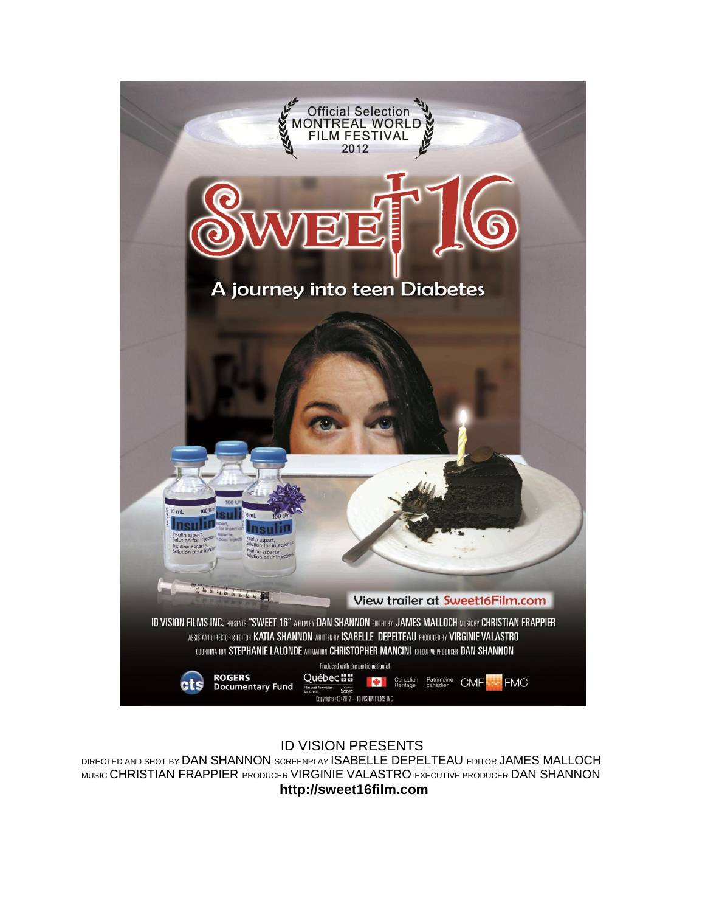

# ID VISION PRESENTS

DIRECTED AND SHOT BY DAN SHANNON SCREENPLAY ISABELLE DEPELTEAU EDITOR JAMES MALLOCH MUSIC CHRISTIAN FRAPPIER PRODUCER VIRGINIE VALASTRO EXECUTIVE PRODUCER DAN SHANNON **http://sweet16film.com**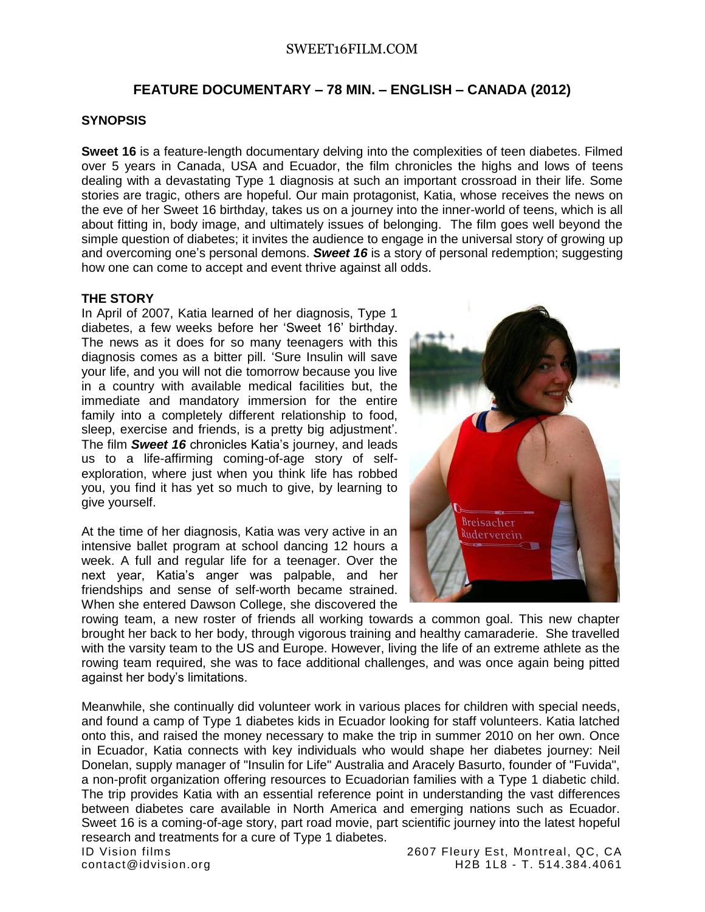# **FEATURE DOCUMENTARY – 78 MIN. – ENGLISH – CANADA (2012)**

### **SYNOPSIS**

**Sweet 16** is a feature-length documentary delving into the complexities of teen diabetes. Filmed over 5 years in Canada, USA and Ecuador, the film chronicles the highs and lows of teens dealing with a devastating Type 1 diagnosis at such an important crossroad in their life. Some stories are tragic, others are hopeful. Our main protagonist, Katia, whose receives the news on the eve of her Sweet 16 birthday, takes us on a journey into the inner-world of teens, which is all about fitting in, body image, and ultimately issues of belonging. The film goes well beyond the simple question of diabetes; it invites the audience to engage in the universal story of growing up and overcoming one's personal demons. *Sweet 16* is a story of personal redemption; suggesting how one can come to accept and event thrive against all odds.

## **THE STORY**

In April of 2007, Katia learned of her diagnosis, Type 1 diabetes, a few weeks before her 'Sweet 16' birthday. The news as it does for so many teenagers with this diagnosis comes as a bitter pill. 'Sure Insulin will save your life, and you will not die tomorrow because you live in a country with available medical facilities but, the immediate and mandatory immersion for the entire family into a completely different relationship to food, sleep, exercise and friends, is a pretty big adjustment'. The film *Sweet 16* chronicles Katia's journey, and leads us to a life-affirming coming-of-age story of selfexploration, where just when you think life has robbed you, you find it has yet so much to give, by learning to give yourself.

At the time of her diagnosis, Katia was very active in an intensive ballet program at school dancing 12 hours a week. A full and regular life for a teenager. Over the next year, Katia's anger was palpable, and her friendships and sense of self-worth became strained. When she entered Dawson College, she discovered the



rowing team, a new roster of friends all working towards a common goal. This new chapter brought her back to her body, through vigorous training and healthy camaraderie. She travelled with the varsity team to the US and Europe. However, living the life of an extreme athlete as the rowing team required, she was to face additional challenges, and was once again being pitted against her body's limitations.

Meanwhile, she continually did volunteer work in various places for children with special needs, and found a camp of Type 1 diabetes kids in Ecuador looking for staff volunteers. Katia latched onto this, and raised the money necessary to make the trip in summer 2010 on her own. Once in Ecuador, Katia connects with key individuals who would shape her diabetes journey: Neil Donelan, supply manager of "Insulin for Life" Australia and Aracely Basurto, founder of "Fuvida", a non-profit organization offering resources to Ecuadorian families with a Type 1 diabetic child. The trip provides Katia with an essential reference point in understanding the vast differences between diabetes care available in North America and emerging nations such as Ecuador. Sweet 16 is a coming-of-age story, part road movie, part scientific journey into the latest hopeful research and treatments for a cure of Type 1 diabetes.

ID Vision films 2607 Fleury Est, Montreal, QC, CA contact@idvision.org H2B 1L8 - T. 514.384.4061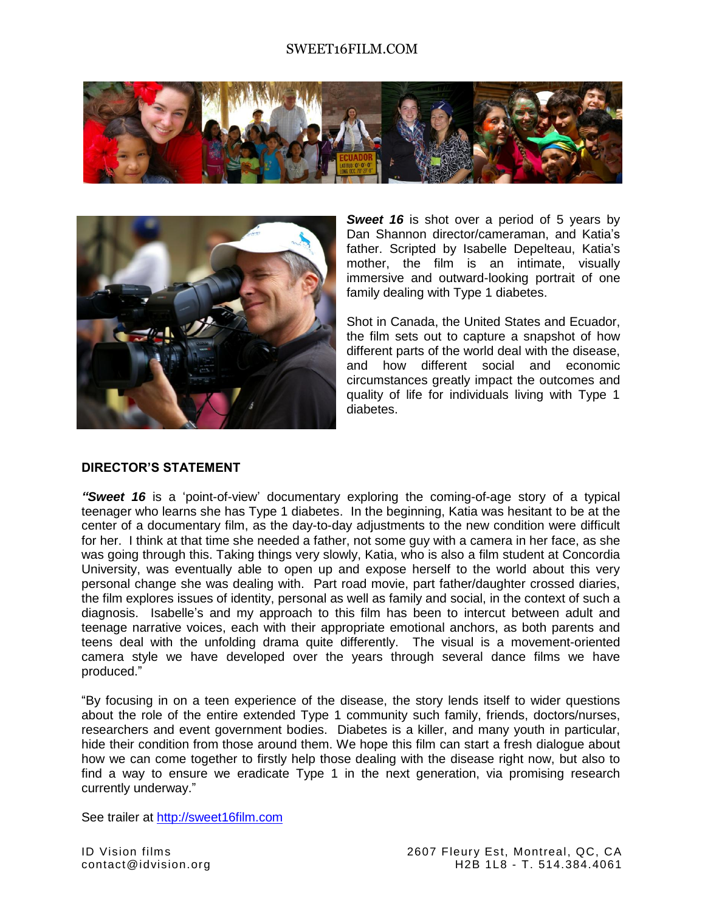



**Sweet 16** is shot over a period of 5 years by Dan Shannon director/cameraman, and Katia's father. Scripted by Isabelle Depelteau, Katia's mother, the film is an intimate, visually immersive and outward-looking portrait of one family dealing with Type 1 diabetes.

Shot in Canada, the United States and Ecuador, the film sets out to capture a snapshot of how different parts of the world deal with the disease, and how different social and economic circumstances greatly impact the outcomes and quality of life for individuals living with Type 1 diabetes.

#### **DIRECTOR'S STATEMENT**

*"Sweet 16* is a 'point-of-view' documentary exploring the coming-of-age story of a typical teenager who learns she has Type 1 diabetes. In the beginning, Katia was hesitant to be at the center of a documentary film, as the day-to-day adjustments to the new condition were difficult for her. I think at that time she needed a father, not some guy with a camera in her face, as she was going through this. Taking things very slowly, Katia, who is also a film student at Concordia University, was eventually able to open up and expose herself to the world about this very personal change she was dealing with. Part road movie, part father/daughter crossed diaries, the film explores issues of identity, personal as well as family and social, in the context of such a diagnosis. Isabelle's and my approach to this film has been to intercut between adult and teenage narrative voices, each with their appropriate emotional anchors, as both parents and teens deal with the unfolding drama quite differently. The visual is a movement-oriented camera style we have developed over the years through several dance films we have produced."

"By focusing in on a teen experience of the disease, the story lends itself to wider questions about the role of the entire extended Type 1 community such family, friends, doctors/nurses, researchers and event government bodies. Diabetes is a killer, and many youth in particular, hide their condition from those around them. We hope this film can start a fresh dialogue about how we can come together to firstly help those dealing with the disease right now, but also to find a way to ensure we eradicate Type 1 in the next generation, via promising research currently underway."

See trailer at [http://sweet16film.com](http://sweet16film.com/)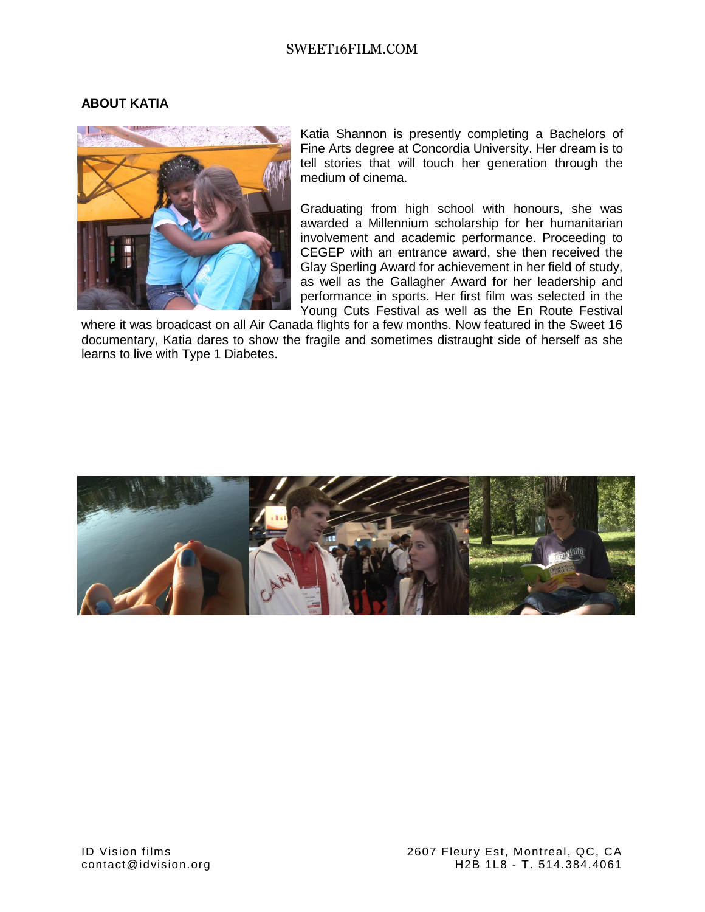## **ABOUT KATIA**



Katia Shannon is presently completing a Bachelors of Fine Arts degree at Concordia University. Her dream is to tell stories that will touch her generation through the medium of cinema.

Graduating from high school with honours, she was awarded a Millennium scholarship for her humanitarian involvement and academic performance. Proceeding to CEGEP with an entrance award, she then received the Glay Sperling Award for achievement in her field of study, as well as the Gallagher Award for her leadership and performance in sports. Her first film was selected in the Young Cuts Festival as well as the En Route Festival

where it was broadcast on all Air Canada flights for a few months. Now featured in the Sweet 16 documentary, Katia dares to show the fragile and sometimes distraught side of herself as she learns to live with Type 1 Diabetes.

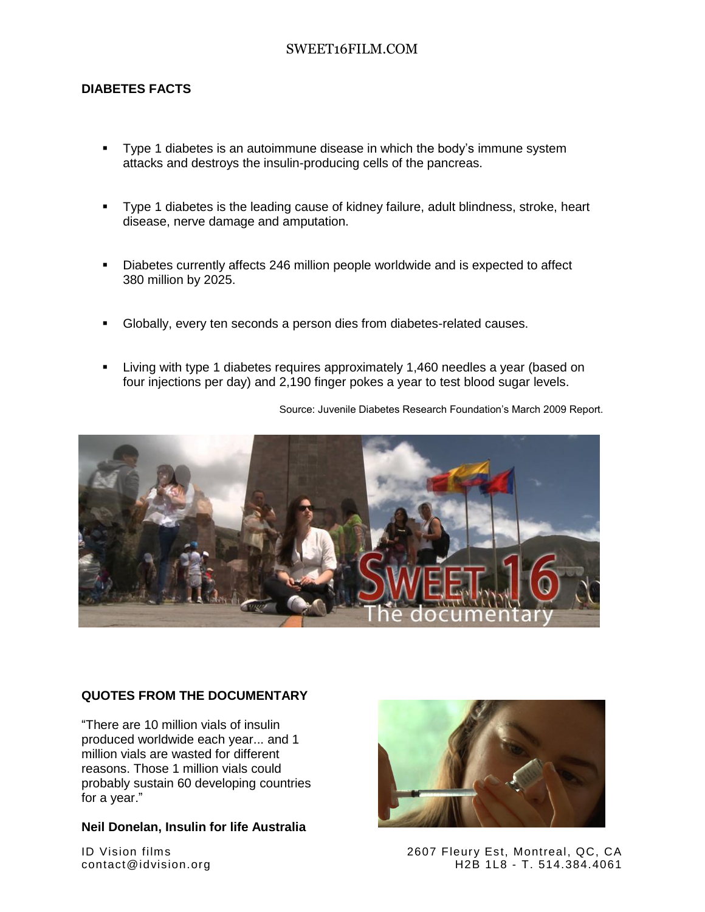## **DIABETES FACTS**

- Type 1 diabetes is an autoimmune disease in which the body's immune system attacks and destroys the insulin-producing cells of the pancreas.
- Type 1 diabetes is the leading cause of kidney failure, adult blindness, stroke, heart disease, nerve damage and amputation.
- Diabetes currently affects 246 million people worldwide and is expected to affect 380 million by 2025.
- Globally, every ten seconds a person dies from diabetes-related causes.
- Living with type 1 diabetes requires approximately 1,460 needles a year (based on four injections per day) and 2,190 finger pokes a year to test blood sugar levels.

Source: Juvenile Diabetes Research Foundation's March 2009 Report.



#### **QUOTES FROM THE DOCUMENTARY**

"There are 10 million vials of insulin produced worldwide each year... and 1 million vials are wasted for different reasons. Those 1 million vials could probably sustain 60 developing countries for a year."

#### **Neil Donelan, Insulin for life Australia**



ID Vision films 2607 Fleury Est, Montreal, QC, CA contact@idvision.org H2B 1L8 - T. 514.384.4061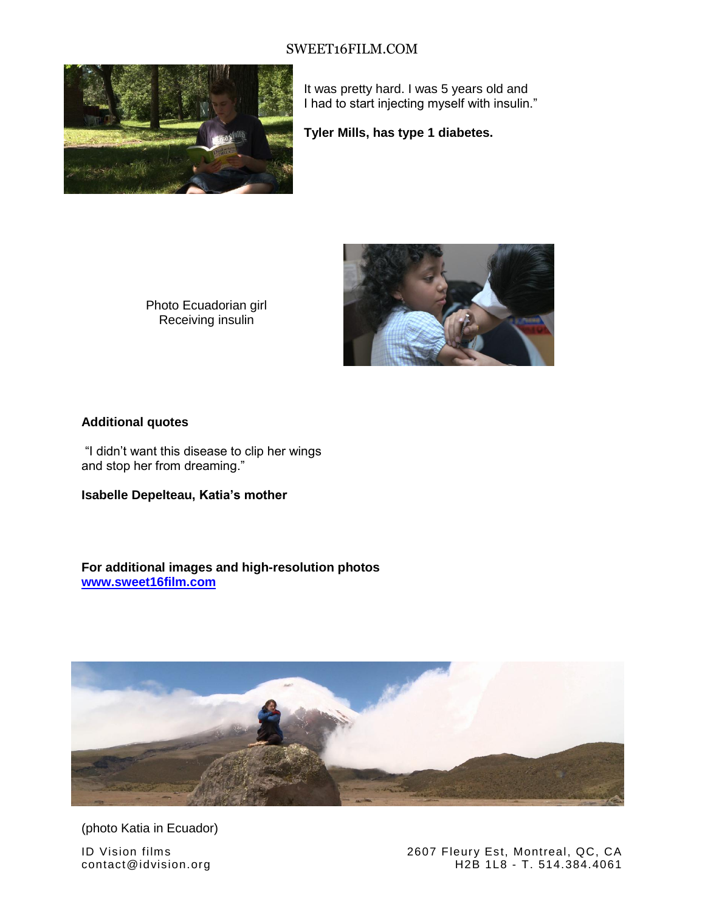

It was pretty hard. I was 5 years old and I had to start injecting myself with insulin."

**Tyler Mills, has type 1 diabetes.**

Photo Ecuadorian girl Receiving insulin



## **Additional quotes**

"I didn't want this disease to clip her wings and stop her from dreaming."

**Isabelle Depelteau, Katia's mother**

**For additional images and high-resolution photos [www.sweet16film.com](http://www.sweet16film.com/)**



(photo Katia in Ecuador)

ID Vision films 2607 Fleury Est, Montreal, QC, CA<br>
2607 Fleury Est, Montreal, QC, CA<br>
H2B 1L8 - T. 514.384.4061 H2B 1L8 - T. 514.384.4061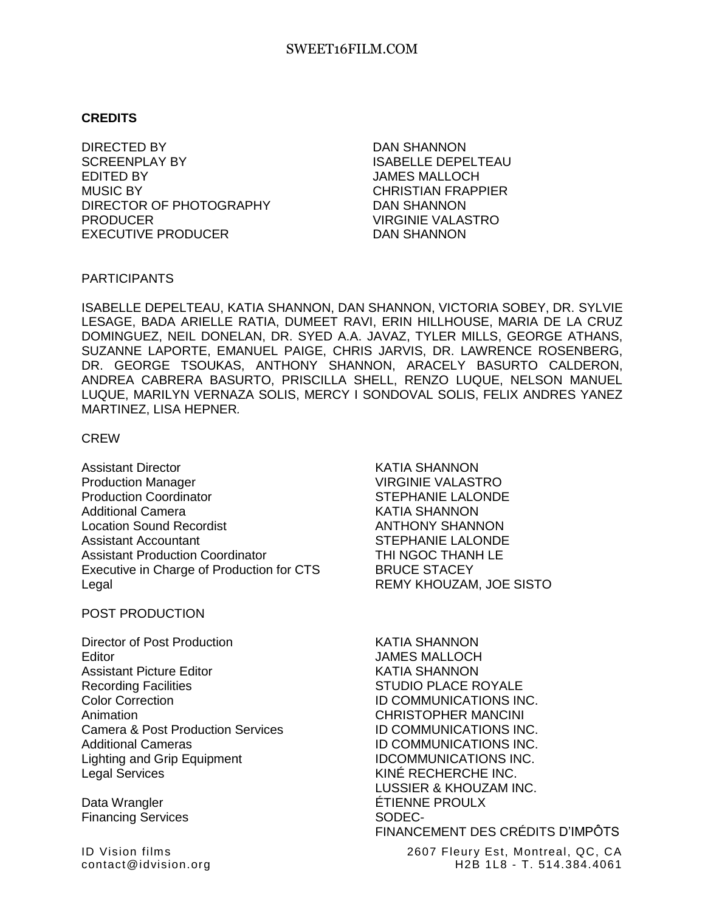## **CREDITS**

DIRECTED BY SCREENPLAY BY EDITED BY MUSIC BY DIRECTOR OF PHOTOGRAPHY PRODUCER EXECUTIVE PRODUCER

DAN SHANNON ISABELLE DEPELTEAU JAMES MALLOCH CHRISTIAN FRAPPIER DAN SHANNON VIRGINIE VALASTRO DAN SHANNON

#### PARTICIPANTS

ISABELLE DEPELTEAU, KATIA SHANNON, DAN SHANNON, VICTORIA SOBEY, DR. SYLVIE LESAGE, BADA ARIELLE RATIA, DUMEET RAVI, ERIN HILLHOUSE, MARIA DE LA CRUZ DOMINGUEZ, NEIL DONELAN, DR. SYED A.A. JAVAZ, TYLER MILLS, GEORGE ATHANS, SUZANNE LAPORTE, EMANUEL PAIGE, CHRIS JARVIS, DR. LAWRENCE ROSENBERG, DR. GEORGE TSOUKAS, ANTHONY SHANNON, ARACELY BASURTO CALDERON, ANDREA CABRERA BASURTO, PRISCILLA SHELL, RENZO LUQUE, NELSON MANUEL LUQUE, MARILYN VERNAZA SOLIS, MERCY I SONDOVAL SOLIS, FELIX ANDRES YANEZ MARTINEZ, LISA HEPNER*.*

### CREW

Assistant Director **KATIA SHANNON** Production Manager VIRGINIE VALASTRO Production Coordinator **STEPHANIE LALONDE** Additional Camera **KATIA SHANNON** Location Sound Recordist **ANTHONY SHANNON** Assistant Accountant The STEPHANIE LALONDE Assistant Production Coordinator THI NGOC THANH LE Executive in Charge of Production for CTS BRUCE STACEY Legal **REMY KHOUZAM, JOE SISTO** 

## POST PRODUCTION

Director of Post Production **KATIA SHANNON** Editor JAMES MALLOCH Assistant Picture Editor New York Channels Assistant Picture Editor New York Channels Assistant Picture Editor Recording Facilities **STUDIO PLACE ROYALE** Color Correction **ID COMMUNICATIONS INC.** Animation CHRISTOPHER MANCINI Camera & Post Production Services **ID COMMUNICATIONS INC.** Additional Cameras ID COMMUNICATIONS INC. Lighting and Grip Equipment **IDCOMMUNICATIONS INC.** Legal Services **KINÉ RECHERCHE INC.** 

Financing Services SODEC-

LUSSIER & KHOUZAM INC. Data Wrangler **ETIENNE PROULX** FINANCEMENT DES CRÉDITS D'IMPÔTS

ID Vision films 2607 Fleury Est, Montreal, QC, CA contact@idvision.org H2B 1L8 - T. 514.384.4061